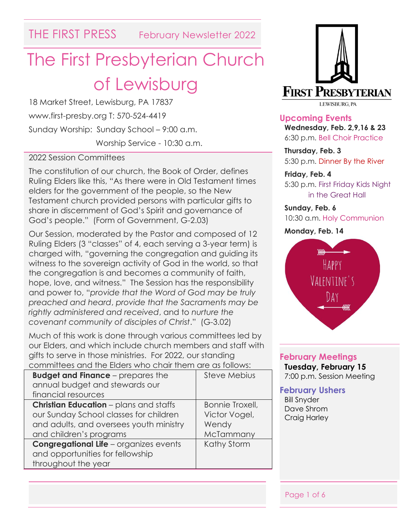THE FIRST PRESS February Newsletter 2022

# The First Presbyterian Church of Lewisburg

18 Market Street, Lewisburg, PA 17837 www.first-presby.org T: 570-524-4419 Sunday Worship: Sunday School – 9:00 a.m. Worship Service - 10:30 a.m.

#### 2022 Session Committees

The constitution of our church, the Book of Order, defines Ruling Elders like this, "As there were in Old Testament times elders for the government of the people, so the New Testament church provided persons with particular gifts to share in discernment of God's Spirit and governance of God's people." (Form of Government, G-2.03)

Our Session, moderated by the Pastor and composed of 12 Ruling Elders (3 "classes" of 4, each serving a 3-year term) is charged with, "governing the congregation and guiding its witness to the sovereign activity of God in the world, so that the congregation is and becomes a community of faith, hope, love, and witness." The Session has the responsibility and power to, "*provide that the Word of God may be truly preached and heard*, *provide that the Sacraments may be rightly administered and received*, and to *nurture the covenant community of disciples of Christ*." (G-3.02)

Much of this work is done through various committees led by our Elders, and which include church members and staff with gifts to serve in those ministries. For 2022, our standing committees and the Elders who chair them are as follows:

| <b>Budget and Finance</b> – prepares the      | <b>Steve Mebius</b> |  |
|-----------------------------------------------|---------------------|--|
| annual budget and stewards our                |                     |  |
| financial resources                           |                     |  |
| <b>Christian Education</b> – plans and staffs | Bonnie Troxell,     |  |
| our Sunday School classes for children        | Victor Vogel,       |  |
| and adults, and oversees youth ministry       | Wendy               |  |
| and children's programs                       | McTammany           |  |
| <b>Congregational Life - organizes events</b> | Kathy Storm         |  |
| and opportunities for fellowship              |                     |  |
| throughout the year                           |                     |  |
|                                               |                     |  |



**Upcoming Events Wednesday, Feb. 2,9,16 & 23** 6:30 p.m. Bell Choir Practice

**Thursday, Feb. 3** 5:30 p.m. Dinner By the River

#### **Friday, Feb. 4**

5:30 p.m. First Friday Kids Night in the Great Hall

**Sunday, Feb. 6** 10:30 a.m. Holy Communion

**Monday, Feb. 14**



## **February Meetings**

**Tuesday, February 15** 7:00 p.m. Session Meeting

#### **February Ushers**

Bill Snyder Dave Shrom Craig Harley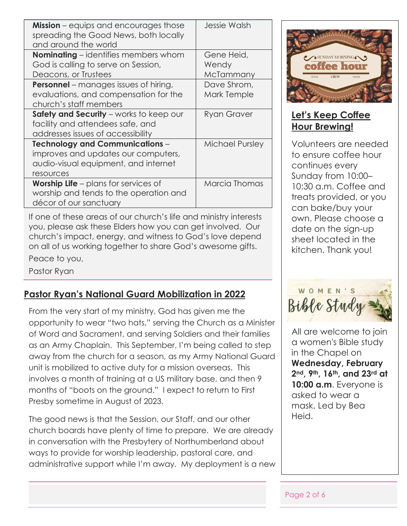| <b>Mission</b> – equips and encourages those<br>spreading the Good News, both locally<br>and around the world | Jessie Walsh    |
|---------------------------------------------------------------------------------------------------------------|-----------------|
| <b>Nominating</b> – identifies members whom                                                                   | Gene Heid,      |
| God is calling to serve on Session,                                                                           | Wendy           |
| Deacons, or Trustees                                                                                          | McTammany       |
| <b>Personnel</b> – manages issues of hiring,                                                                  | Dave Shrom,     |
| evaluations, and compensation for the                                                                         | Mark Temple     |
| church's staff members                                                                                        |                 |
| Safety and Security - works to keep our                                                                       | Ryan Graver     |
| facility and attendees safe, and                                                                              |                 |
| addresses issues of accessibility                                                                             |                 |
| <b>Technology and Communications -</b>                                                                        | Michael Pursley |
| improves and updates our computers,                                                                           |                 |
| audio-visual equipment, and internet                                                                          |                 |
| resources                                                                                                     |                 |
| <b>Worship Life</b> $-$ plans for services of                                                                 | Marcia Thomas   |
| worship and tends to the operation and                                                                        |                 |
| décor of our sanctuary                                                                                        |                 |
|                                                                                                               |                 |

If one of these areas of our church's life and ministry interests you, please ask these Elders how you can get involved. Our church's impact, energy, and witness to God's love depend on all of us working together to share God's awesome gifts.

Peace to you,

Pastor Ryan

#### **Pastor Ryan's National Guard Mobilization in 2022**

From the very start of my ministry, God has given me the opportunity to wear "two hats," serving the Church as a Minister of Word and Sacrament, and serving Soldiers and their families as an Army Chaplain. This September, I'm being called to step away from the church for a season, as my Army National Guard unit is mobilized to active duty for a mission overseas. This involves a month of training at a US military base, and then 9 months of "boots on the ground." I expect to return to First Presby sometime in August of 2023.

The good news is that the Session, our Staff, and our other church boards have plenty of time to prepare. We are already in conversation with the Presbytery of Northumberland about ways to provide for worship leadership, pastoral care, and administrative support while I'm away. My deployment is a new



## **Let's Keep Coffee Hour Brewing!**

Volunteers are needed to ensure coffee hour continues every Sunday from 10:00– 10:30 a.m. Coffee and treats provided, or you can bake/buy your own. Please choose a date on the sign-up sheet located in the kitchen. Thank you!



All are welcome to join a women's Bible study in the Chapel on **Wednesday, February 2nd, 9th, 16th, and 23rd at 10:00 a.m**. Everyone is asked to wear a mask. Led by Bea Heid.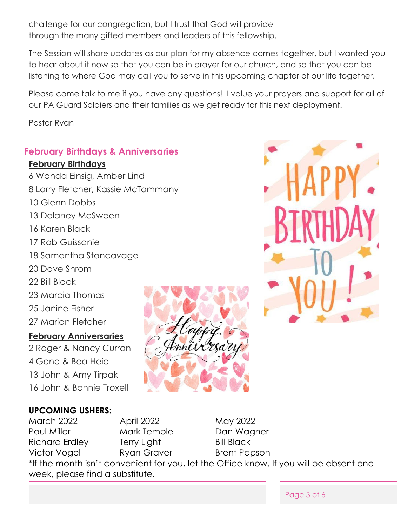challenge for our congregation, but I trust that God will provide through the many gifted members and leaders of this fellowship.

The Session will share updates as our plan for my absence comes together, but I wanted you to hear about it now so that you can be in prayer for our church, and so that you can be listening to where God may call you to serve in this upcoming chapter of our life together.

Please come talk to me if you have any questions! I value your prayers and support for all of our PA Guard Soldiers and their families as we get ready for this next deployment.

Pastor Ryan

#### **February Birthdays & Anniversaries**

#### **February Birthdays**

- 6 Wanda Einsig, Amber Lind
- 8 Larry Fletcher, Kassie McTammany
- 10 Glenn Dobbs
- 13 Delaney McSween
- 16 Karen Black
- 17 Rob Guissanie
- 18 Samantha Stancavage
- 20 Dave Shrom
- 22 Bill Black
- 23 Marcia Thomas
- 25 Janine Fisher
- 27 Marian Fletcher

#### **February Anniversaries**

2 Roger & Nancy Curran 4 Gene & Bea Heid 13 John & Amy Tirpak 16 John & Bonnie Troxell





Page 3 of 6

#### **UPCOMING USHERS:**

| March 2022                      | <b>April 2022</b> | May 2022                                                                               |
|---------------------------------|-------------------|----------------------------------------------------------------------------------------|
| Paul Miller                     | Mark Temple       | Dan Wagner                                                                             |
| <b>Richard Erdley</b>           | Terry Light       | <b>Bill Black</b>                                                                      |
| Victor Vogel                    | Ryan Graver       | <b>Brent Papson</b>                                                                    |
|                                 |                   | *If the month isn't convenient for you, let the Office know. If you will be absent one |
| week, please find a substitute. |                   |                                                                                        |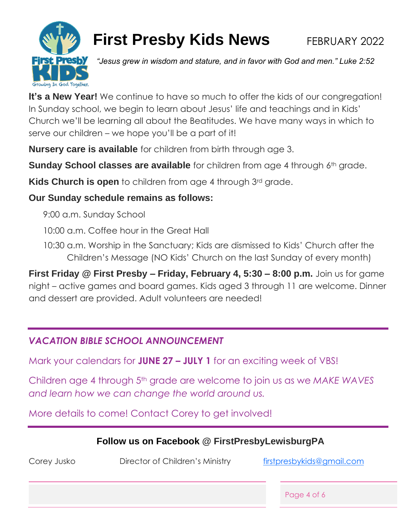

# **First Presby Kids News** FEBRUARY 2022

*"Jesus grew in wisdom and stature, and in favor with God and men." Luke 2:52*

It's a **New Year!** We continue to have so much to offer the kids of our congregation! In Sunday school, we begin to learn about Jesus' life and teachings and in Kids' Church we'll be learning all about the Beatitudes. We have many ways in which to serve our children – we hope you'll be a part of it!

**Nursery care is available** for children from birth through age 3.

**Sunday School classes are available** for children from age 4 through 6<sup>th</sup> grade.

**Kids Church is open** to children from age 4 through 3<sup>rd</sup> grade.

## **Our Sunday schedule remains as follows:**

9:00 a.m. Sunday School

10:00 a.m. Coffee hour in the Great Hall

10:30 a.m. Worship in the Sanctuary; Kids are dismissed to Kids' Church after the Children's Message (NO Kids' Church on the last Sunday of every month)

**First Friday @ First Presby – Friday, February 4, 5:30 – 8:00 p.m.** Join us for game night – active games and board games. Kids aged 3 through 11 are welcome. Dinner and dessert are provided. Adult volunteers are needed!

# *VACATION BIBLE SCHOOL ANNOUNCEMENT*

Mark your calendars for **JUNE 27 – JULY 1** for an exciting week of VBS!

Children age 4 through 5th grade are welcome to join us as we *MAKE WAVES and learn how we can change the world around us.*

More details to come! Contact Corey to get involved!

# **Follow us on Facebook @ FirstPresbyLewisburgPA**

Corey Jusko **Director of Children's Ministry First press by King American** Corey Jusko

Page 4 of 6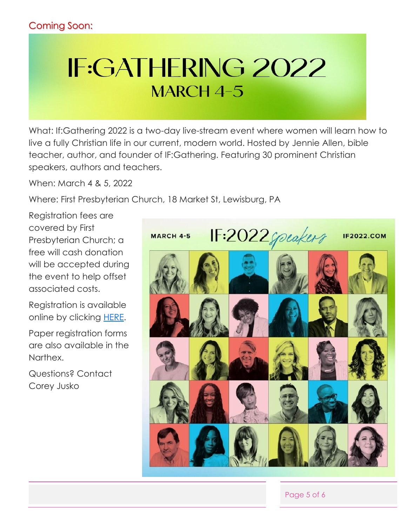# **IF:GATHERING 2022 MARCH 4-5**

What: If:Gathering 2022 is a two-day live-stream event where women will learn how to live a fully Christian life in our current, modern world. Hosted by Jennie Allen, bible teacher, author, and founder of IF:Gathering. Featuring 30 prominent Christian speakers, authors and teachers.

When: March 4 & 5, 2022

Where: First Presbyterian Church, 18 Market St, Lewisburg, PA

Registration fees are covered by First Presbyterian Church; a free will cash donation will be accepted during the event to help offset associated costs.

Registration is available online by clicking [HERE.](https://docs.google.com/forms/d/e/1FAIpQLSfAnQJkWTqozCy86UdQ8zoIFykFOA7zYFir1tJIOoNKeiEVvw/viewform?usp=sf_link)

Paper registration forms are also available in the Narthex.

Questions? Contact Corey Jusko



Page 5 of 6